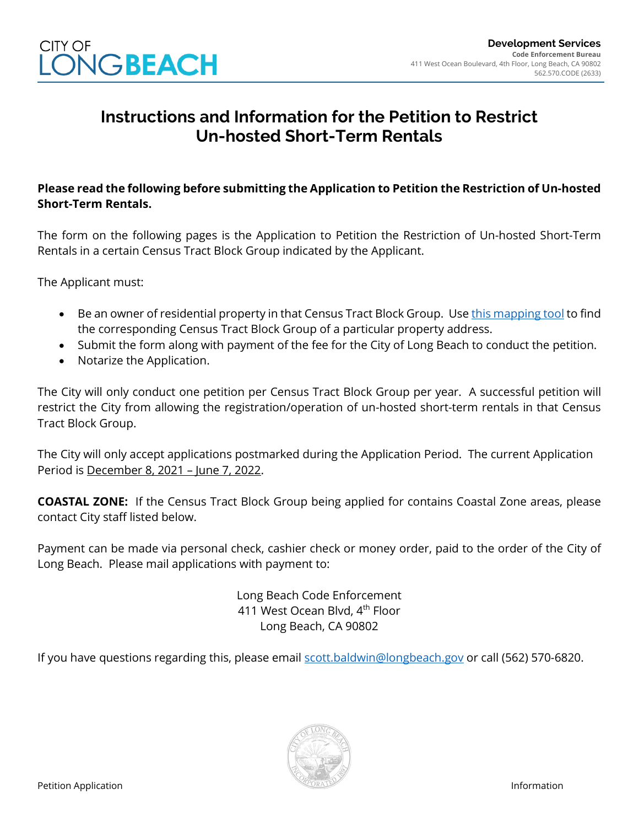

## **Instructions and Information for the Petition to Restrict Un-hosted Short-Term Rentals**

## **Please read the following before submitting the Application to Petition the Restriction of Un-hosted Short-Term Rentals.**

The form on the following pages is the Application to Petition the Restriction of Un-hosted Short-Term Rentals in a certain Census Tract Block Group indicated by the Applicant.

The Applicant must:

- Be an owner of residential property in that Census Tract Block Group. Use [this mapping tool](https://longbeachca.maps.arcgis.com/apps/webappviewer/index.html?id=a317d15dea8c49038287de63f8cd247d) to find the corresponding Census Tract Block Group of a particular property address.
- Submit the form along with payment of the fee for the City of Long Beach to conduct the petition.
- Notarize the Application.

The City will only conduct one petition per Census Tract Block Group per year. A successful petition will restrict the City from allowing the registration/operation of un-hosted short-term rentals in that Census Tract Block Group.

The City will only accept applications postmarked during the Application Period. The current Application Period is December 8, 2021 – June 7, 2022.

**COASTAL ZONE:** If the Census Tract Block Group being applied for contains Coastal Zone areas, please contact City staff listed below.

Payment can be made via personal check, cashier check or money order, paid to the order of the City of Long Beach. Please mail applications with payment to:

> Long Beach Code Enforcement 411 West Ocean Blyd, 4<sup>th</sup> Floor Long Beach, CA 90802

If you have questions regarding this, please email [scott.baldwin@longbeach.gov](mailto:scott.baldwin@longbeach.gov) or call (562) 570-6820.

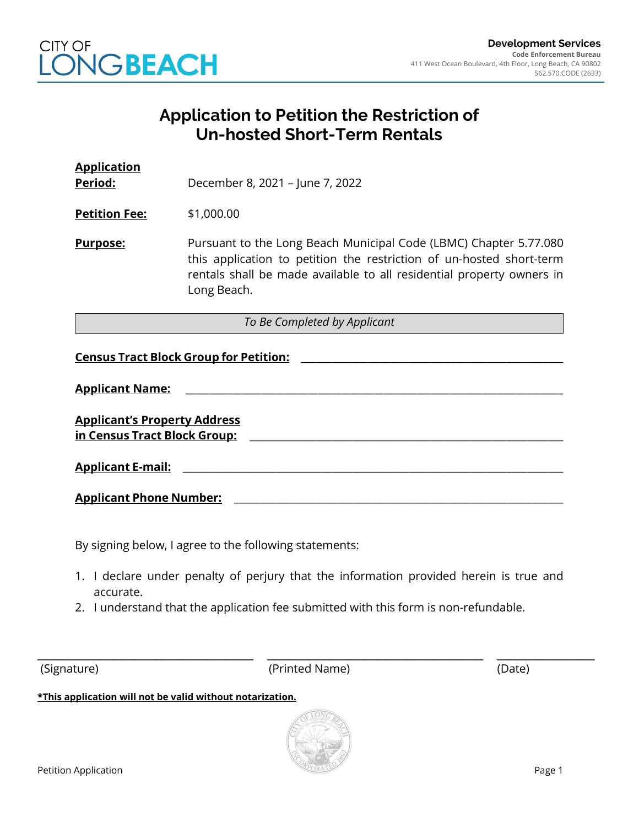

## **Application to Petition the Restriction of Un-hosted Short-Term Rentals**

| <b>Application</b><br>Period:                                       | December 8, 2021 - June 7, 2022                                                                                                                                                                                                   |  |  |
|---------------------------------------------------------------------|-----------------------------------------------------------------------------------------------------------------------------------------------------------------------------------------------------------------------------------|--|--|
| <b>Petition Fee:</b>                                                | \$1,000.00                                                                                                                                                                                                                        |  |  |
| Purpose:                                                            | Pursuant to the Long Beach Municipal Code (LBMC) Chapter 5.77.080<br>this application to petition the restriction of un-hosted short-term<br>rentals shall be made available to all residential property owners in<br>Long Beach. |  |  |
| To Be Completed by Applicant                                        |                                                                                                                                                                                                                                   |  |  |
| <b>Census Tract Block Group for Petition:</b>                       |                                                                                                                                                                                                                                   |  |  |
| <b>Applicant Name:</b>                                              |                                                                                                                                                                                                                                   |  |  |
| <b>Applicant's Property Address</b><br>in Census Tract Block Group: |                                                                                                                                                                                                                                   |  |  |
| <b>Applicant E-mail:</b>                                            |                                                                                                                                                                                                                                   |  |  |
| <b>Applicant Phone Number:</b>                                      |                                                                                                                                                                                                                                   |  |  |

By signing below, I agree to the following statements:

- 1. I declare under penalty of perjury that the information provided herein is true and accurate.
- 2. I understand that the application fee submitted with this form is non-refundable.

\_\_\_\_\_\_\_\_\_\_\_\_\_\_\_\_\_\_\_\_\_\_\_\_\_\_\_\_\_\_\_ \_\_\_\_\_\_\_\_\_\_\_\_\_\_\_\_\_\_\_\_\_\_\_\_\_\_\_\_\_\_\_ \_\_\_\_\_\_\_\_\_\_\_\_\_\_ (Signature) (Printed Name) (Date)

**\*This application will not be valid without notarization.**